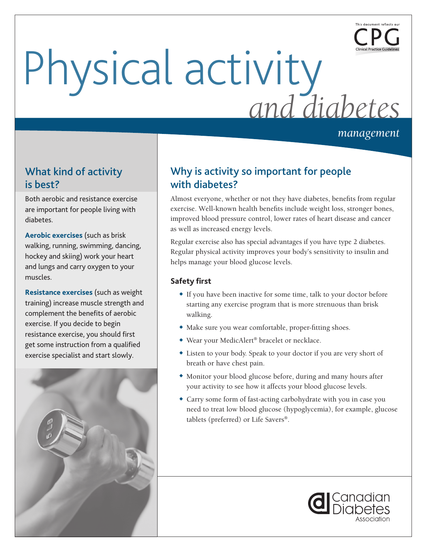

# Physical activity *and diabetes*

*management*

# What kind of activity is best?

Both aerobic and resistance exercise are important for people living with diabetes.

**Aerobic exercises** (such as brisk walking, running, swimming, dancing, hockey and skiing) work your heart and lungs and carry oxygen to your muscles.

**Resistance exercises** (such as weight training) increase muscle strength and complement the benefits of aerobic exercise. If you decide to begin resistance exercise, you should first get some instruction from a qualified exercise specialist and start slowly.



# Why is activity so important for people with diabetes?

Almost everyone, whether or not they have diabetes, benefits from regular exercise. Well-known health benefits include weight loss, stronger bones, improved blood pressure control, lower rates of heart disease and cancer as well as increased energy levels.

Regular exercise also has special advantages if you have type 2 diabetes. Regular physical activity improves your body's sensitivity to insulin and helps manage your blood glucose levels.

## **Safety first**

- If you have been inactive for some time, talk to your doctor before starting any exercise program that is more strenuous than brisk walking.
- $\bullet$  Make sure you wear comfortable, proper-fitting shoes.
- ◆ Wear your MedicAlert<sup>®</sup> bracelet or necklace.
- Listen to your body. Speak to your doctor if you are very short of breath or have chest pain.
- w Monitor your blood glucose before, during and many hours after your activity to see how it affects your blood glucose levels.
- Carry some form of fast-acting carbohydrate with you in case you need to treat low blood glucose (hypoglycemia), for example, glucose tablets (preferred) or Life Savers®.